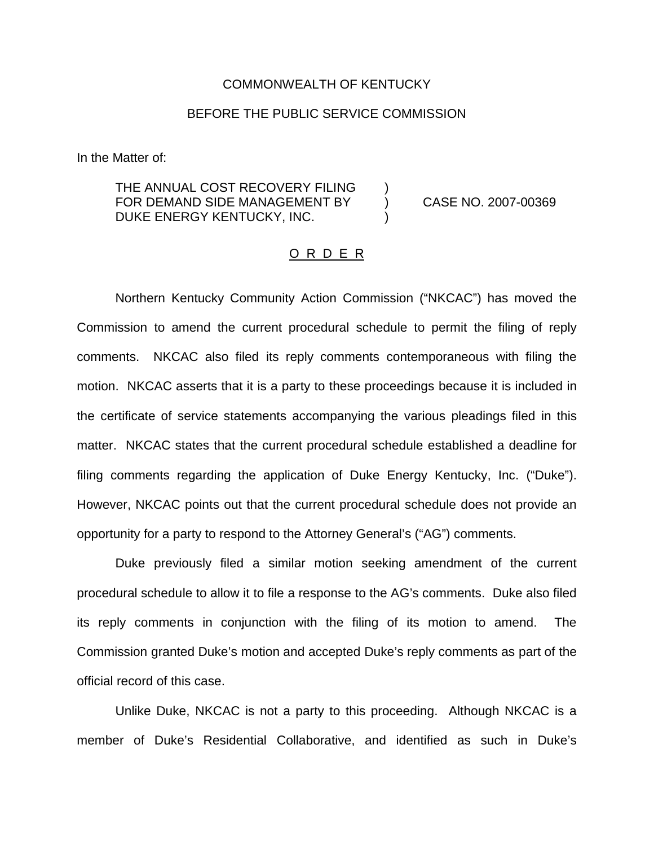## COMMONWEALTH OF KENTUCKY

## BEFORE THE PUBLIC SERVICE COMMISSION

In the Matter of:

THE ANNUAL COST RECOVERY FILING FOR DEMAND SIDE MANAGEMENT BY (CASE NO. 2007-00369) DUKE ENERGY KENTUCKY, INC.

## O R D E R

Northern Kentucky Community Action Commission ("NKCAC") has moved the Commission to amend the current procedural schedule to permit the filing of reply comments. NKCAC also filed its reply comments contemporaneous with filing the motion. NKCAC asserts that it is a party to these proceedings because it is included in the certificate of service statements accompanying the various pleadings filed in this matter. NKCAC states that the current procedural schedule established a deadline for filing comments regarding the application of Duke Energy Kentucky, Inc. ("Duke"). However, NKCAC points out that the current procedural schedule does not provide an opportunity for a party to respond to the Attorney General's ("AG") comments.

Duke previously filed a similar motion seeking amendment of the current procedural schedule to allow it to file a response to the AG's comments. Duke also filed its reply comments in conjunction with the filing of its motion to amend. The Commission granted Duke's motion and accepted Duke's reply comments as part of the official record of this case.

Unlike Duke, NKCAC is not a party to this proceeding. Although NKCAC is a member of Duke's Residential Collaborative, and identified as such in Duke's